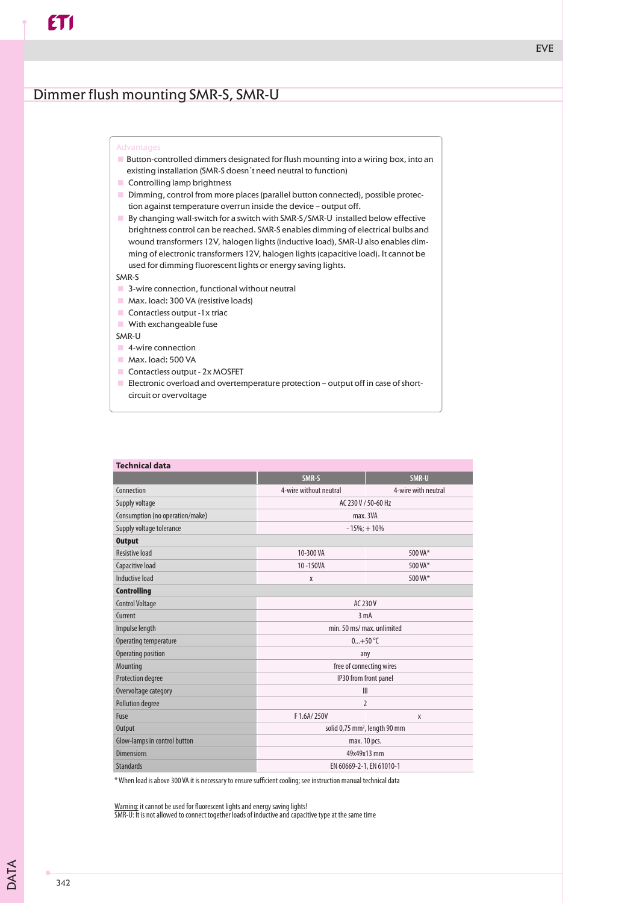## Dimmer flush mounting SMR-S, SMR-U

- $\blacksquare$  Button-controlled dimmers designated for flush mounting into a wiring box, into an existing installation (SMR-S doesn´t need neutral to function)
- **Controlling lamp brightness**
- **Dimming, control from more places (parallel button connected), possible protec**tion against temperature overrun inside the device – output off.
- $\blacksquare$  By changing wall-switch for a switch with SMR-S/SMR-U installed below effective brightness control can be reached. SMR-S enables dimming of electrical bulbs and wound transformers 12V, halogen lights (inductive load), SMR-U also enables dimming of electronic transformers 12V, halogen lights (capacitive load). It cannot be used for dimming fluorescent lights or energy saving lights.

## SMR-S

- $\Box$  3-wire connection, functional without neutral
- Max. load: 300 VA (resistive loads)
- $\blacksquare$  Contactless output -1x triac
- **With exchangeable fuse**

SMR-U

- 4-wire connection
- Max. load: 500 VA
- $\Box$  Contactless output  $2x$  MOSFET
- $\blacksquare$  Electronic overload and overtemperature protection output off in case of shortcircuit or overvoltage

| <b>Technical data</b>           |                                           |                     |
|---------------------------------|-------------------------------------------|---------------------|
|                                 | SMR-S                                     | SMR-U               |
| Connection                      | 4-wire without neutral                    | 4-wire with neutral |
| Supply voltage                  | AC 230 V / 50-60 Hz                       |                     |
| Consumption (no operation/make) | max. 3VA                                  |                     |
| Supply voltage tolerance        | $-15\%$ ; + 10%                           |                     |
| <b>Output</b>                   |                                           |                     |
| <b>Resistive load</b>           | 10-300 VA                                 | 500 VA*             |
| Capacitive load                 | 10-150VA                                  | 500 VA*             |
| Inductive load                  | X                                         | 500 VA*             |
| <b>Controlling</b>              |                                           |                     |
| <b>Control Voltage</b>          | AC 230 V                                  |                     |
| Current                         | 3 <sub>m</sub> A                          |                     |
| Impulse length                  | min. 50 ms/ max. unlimited                |                     |
| Operating temperature           | $0+50$ °C                                 |                     |
| Operating position              | any                                       |                     |
| Mounting                        | free of connecting wires                  |                     |
| Protection degree               | IP30 from front panel                     |                     |
| Overvoltage category            | III                                       |                     |
| Pollution degree                | 2                                         |                     |
| Fuse                            | F 1.6A/250V                               | X                   |
| <b>Output</b>                   | solid 0,75 mm <sup>2</sup> , length 90 mm |                     |
| Glow-lamps in control button    | max. 10 pcs.                              |                     |
| <b>Dimensions</b>               | 49x49x13 mm                               |                     |
| <b>Standards</b>                | EN 60669-2-1, EN 61010-1                  |                     |

\* When load is above 300 VA it is necessary to ensure sufficient cooling; see instruction manual technical data

Warning: it cannot be used for fluorescent lights and energy saving lights! SMR-U: It is not allowed to connect together loads of inductive and capacitive type at the same time